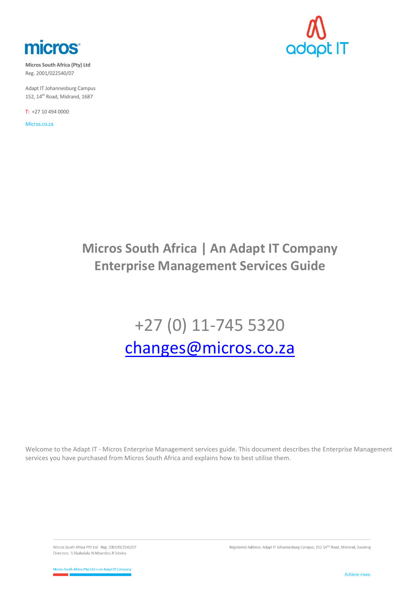

**Micros South Africa (Pty) Ltd** Reg. 2001/022540/07

Adapt IT Johannesburg Campus 152, 14<sup>th</sup> Road, Midrand, 1687

T: +27 10 494 0000

Micros.co.za



## **Micros South Africa | An Adapt IT Company Enterprise Management Services Guide**

# +27 (0) 11-745 5320 [changes@micros.co.za](mailto:changes@micros.co.za)

Welcome to the Adapt IT - Micros Enterprise Management services guide. This document describes the Enterprise Management services you have purchased from Micros South Africa and explains how to best utilise them.

Micros South Africa PTY Ltd Reg: 2001/022540/07 Directors: S Shabalala; N Mbambo; R Sibeko

Registered Address: Adapt IT Johannesburg Campus, 152 14TH Road, Midrand, Gauteng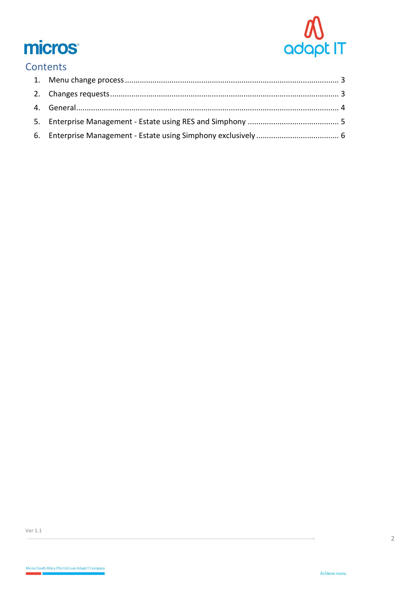

# **micros**

### Contents

÷,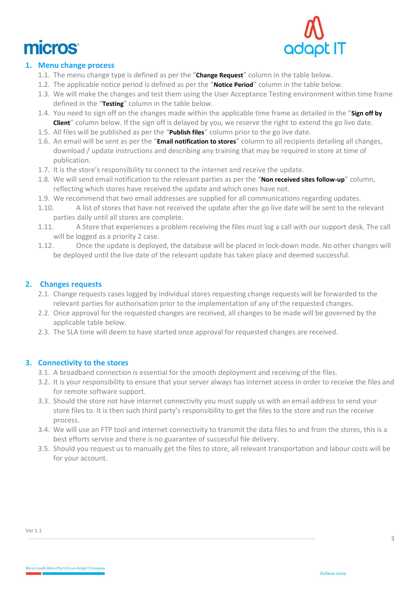



#### <span id="page-2-0"></span>**1. Menu change process**

- 1.1. The menu change type is defined as per the "**Change Request**" column in the table below.
- 1.2. The applicable notice period is defined as per the "**Notice Period**" column in the table below.
- 1.3. We will make the changes and test them using the User Acceptance Testing environment within time frame defined in the "**Testing**" column in the table below.
- 1.4. You need to sign off on the changes made within the applicable time frame as detailed in the "**Sign off by Client**" column below. If the sign off is delayed by you, we reserve the right to extend the go live date.
- 1.5. All files will be published as per the "**Publish files**" column prior to the go live date.
- 1.6. An email will be sent as per the "**Email notification to stores**" column to all recipients detailing all changes, download / update instructions and describing any training that may be required in store at time of publication.
- 1.7. It is the store's responsibility to connect to the internet and receive the update.
- 1.8. We will send email notification to the relevant parties as per the "**Non received sites follow-up**" column, reflecting which stores have received the update and which ones have not.
- 1.9. We recommend that two email addresses are supplied for all communications regarding updates.
- 1.10. A list of stores that have not received the update after the go live date will be sent to the relevant parties daily until all stores are complete.
- 1.11. A Store that experiences a problem receiving the files must log a call with our support desk. The call will be logged as a priority 2 case.
- 1.12. Once the update is deployed, the database will be placed in lock-down mode. No other changes will be deployed until the live date of the relevant update has taken place and deemed successful.

#### **2. Changes requests**

- <span id="page-2-1"></span>2.1. Change requests cases logged by individual stores requesting change requests will be forwarded to the relevant parties for authorisation prior to the implementation of any of the requested changes.
- 2.2. Once approval for the requested changes are received, all changes to be made will be governed by the applicable table below.
- 2.3. The SLA time will deem to have started once approval for requested changes are received.

#### **3. Connectivity to the stores**

- 3.1. A broadband connection is essential for the smooth deployment and receiving of the files.
- 3.2. It is your responsibility to ensure that your server always has internet access in order to receive the files and for remote software support.
- 3.3. Should the store not have internet connectivity you must supply us with an email address to send your store files to. It is then such third party's responsibility to get the files to the store and run the receive process.
- 3.4. We will use an FTP tool and internet connectivity to transmit the data files to and from the stores, this is a best efforts service and there is no guarantee of successful file delivery.
- 3.5. Should you request us to manually get the files to store, all relevant transportation and labour costs will be for your account.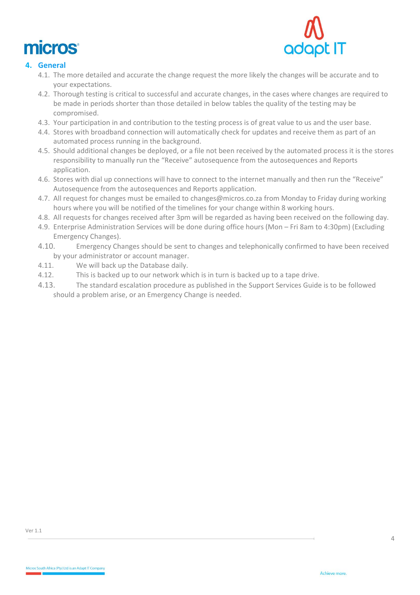



#### <span id="page-3-0"></span>**4. General**

- 4.1. The more detailed and accurate the change request the more likely the changes will be accurate and to your expectations.
- 4.2. Thorough testing is critical to successful and accurate changes, in the cases where changes are required to be made in periods shorter than those detailed in below tables the quality of the testing may be compromised.
- 4.3. Your participation in and contribution to the testing process is of great value to us and the user base.
- 4.4. Stores with broadband connection will automatically check for updates and receive them as part of an automated process running in the background.
- 4.5. Should additional changes be deployed, or a file not been received by the automated process it is the stores responsibility to manually run the "Receive" autosequence from the autosequences and Reports application.
- 4.6. Stores with dial up connections will have to connect to the internet manually and then run the "Receive" Autosequence from the autosequences and Reports application.
- 4.7. All request for changes must be emailed to [changes@micros.co.za](mailto:changes@micros.co.za) from Monday to Friday during working hours where you will be notified of the timelines for your change within 8 working hours.
- 4.8. All requests for changes received after 3pm will be regarded as having been received on the following day.
- 4.9. Enterprise Administration Services will be done during office hours (Mon Fri 8am to 4:30pm) (Excluding Emergency Changes).
- 4.10. Emergency Changes should be sent to changes and telephonically confirmed to have been received by your administrator or account manager.
- 4.11. We will back up the Database daily.
- 4.12. This is backed up to our network which is in turn is backed up to a tape drive.
- 4.13. The standard escalation procedure as published in the Support Services Guide is to be followed should a problem arise, or an Emergency Change is needed.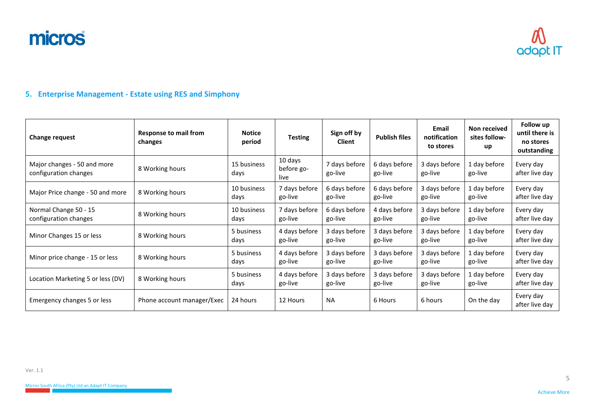micros



#### **5. Enterprise Management - Estate using RES and Simphony**

<span id="page-4-0"></span>

| <b>Change request</b>                                | <b>Response to mail from</b><br>changes | <b>Notice</b><br>period | <b>Testing</b>                | Sign off by<br><b>Client</b> | <b>Publish files</b>     | Email<br>notification<br>to stores | Non received<br>sites follow-<br>up | Follow up<br>until there is<br>no stores<br>outstanding |
|------------------------------------------------------|-----------------------------------------|-------------------------|-------------------------------|------------------------------|--------------------------|------------------------------------|-------------------------------------|---------------------------------------------------------|
| Major changes - 50 and more<br>configuration changes | 8 Working hours                         | 15 business<br>days     | 10 days<br>before go-<br>live | 7 days before<br>go-live     | 6 days before<br>go-live | 3 days before<br>go-live           | 1 day before<br>go-live             | Every day<br>after live day                             |
| Major Price change - 50 and more                     | 8 Working hours                         | 10 business<br>days     | 7 days before<br>go-live      | 6 days before<br>go-live     | 6 days before<br>go-live | 3 days before<br>go-live           | 1 day before<br>go-live             | Every day<br>after live day                             |
| Normal Change 50 - 15<br>configuration changes       | 8 Working hours                         | 10 business<br>days     | 7 days before<br>go-live      | 6 days before<br>go-live     | 4 days before<br>go-live | 3 days before<br>go-live           | 1 day before<br>go-live             | Every day<br>after live day                             |
| Minor Changes 15 or less                             | 8 Working hours                         | 5 business<br>days      | 4 days before<br>go-live      | 3 days before<br>go-live     | 3 days before<br>go-live | 3 days before<br>go-live           | 1 day before<br>go-live             | Every day<br>after live day                             |
| Minor price change - 15 or less                      | 8 Working hours                         | 5 business<br>days      | 4 days before<br>go-live      | 3 days before<br>go-live     | 3 days before<br>go-live | 3 days before<br>go-live           | 1 day before<br>go-live             | Every day<br>after live day                             |
| Location Marketing 5 or less (DV)                    | 8 Working hours                         | 5 business<br>days      | 4 days before<br>go-live      | 3 days before<br>go-live     | 3 days before<br>go-live | 3 days before<br>go-live           | 1 day before<br>go-live             | Every day<br>after live day                             |
| Emergency changes 5 or less                          | Phone account manager/Exec              | 24 hours                | 12 Hours                      | <b>NA</b>                    | 6 Hours                  | 6 hours                            | On the day                          | Every day<br>after live day                             |

5